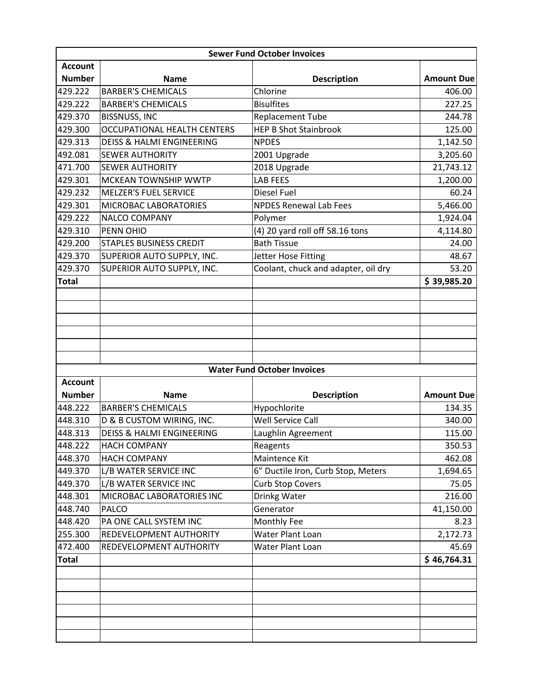| <b>Sewer Fund October Invoices</b> |                                      |                                     |                   |  |
|------------------------------------|--------------------------------------|-------------------------------------|-------------------|--|
| <b>Account</b>                     |                                      |                                     |                   |  |
| <b>Number</b>                      | <b>Name</b>                          | <b>Description</b>                  | <b>Amount Due</b> |  |
| 429.222                            | <b>BARBER'S CHEMICALS</b>            | Chlorine                            | 406.00            |  |
| 429.222                            | <b>BARBER'S CHEMICALS</b>            | <b>Bisulfites</b>                   | 227.25            |  |
| 429.370                            | <b>BISSNUSS, INC</b>                 | <b>Replacement Tube</b>             | 244.78            |  |
| 429.300                            | <b>OCCUPATIONAL HEALTH CENTERS</b>   | <b>HEP B Shot Stainbrook</b>        | 125.00            |  |
| 429.313                            | <b>DEISS &amp; HALMI ENGINEERING</b> | <b>NPDES</b>                        | 1,142.50          |  |
| 492.081                            | <b>SEWER AUTHORITY</b>               | 2001 Upgrade                        | 3,205.60          |  |
| 471.700                            | <b>SEWER AUTHORITY</b>               | 2018 Upgrade                        | 21,743.12         |  |
| 429.301                            | MCKEAN TOWNSHIP WWTP                 | <b>LAB FEES</b>                     | 1,200.00          |  |
| 429.232                            | <b>MELZER'S FUEL SERVICE</b>         | Diesel Fuel                         | 60.24             |  |
| 429.301                            | MICROBAC LABORATORIES                | <b>NPDES Renewal Lab Fees</b>       | 5,466.00          |  |
| 429.222                            | NALCO COMPANY                        | Polymer                             | 1,924.04          |  |
| 429.310                            | PENN OHIO                            | (4) 20 yard roll off 58.16 tons     | 4,114.80          |  |
| 429.200                            | <b>STAPLES BUSINESS CREDIT</b>       | <b>Bath Tissue</b>                  | 24.00             |  |
| 429.370                            | SUPERIOR AUTO SUPPLY, INC.           | Jetter Hose Fitting                 | 48.67             |  |
| 429.370                            | SUPERIOR AUTO SUPPLY, INC.           | Coolant, chuck and adapter, oil dry | 53.20             |  |
| <b>Total</b>                       |                                      |                                     | \$39,985.20       |  |
|                                    |                                      |                                     |                   |  |
|                                    |                                      |                                     |                   |  |
|                                    |                                      |                                     |                   |  |
|                                    |                                      |                                     |                   |  |
|                                    |                                      |                                     |                   |  |
|                                    |                                      |                                     |                   |  |
|                                    |                                      | <b>Water Fund October Invoices</b>  |                   |  |
| <b>Account</b>                     |                                      |                                     |                   |  |
| <b>Number</b>                      | <b>Name</b>                          | <b>Description</b>                  | <b>Amount Due</b> |  |
| 448.222                            | <b>BARBER'S CHEMICALS</b>            | Hypochlorite                        | 134.35            |  |
| 448.310                            | D & B CUSTOM WIRING, INC.            | <b>Well Service Call</b>            | 340.00            |  |
| 448.313                            | <b>DEISS &amp; HALMI ENGINEERING</b> | Laughlin Agreement                  | 115.00            |  |
| 448.222                            | <b>HACH COMPANY</b>                  | Reagents                            | 350.53            |  |
| 448.370                            | <b>HACH COMPANY</b>                  | Maintence Kit                       | 462.08            |  |
| 449.370                            | L/B WATER SERVICE INC                | 6" Ductile Iron, Curb Stop, Meters  | 1,694.65          |  |
| 449.370                            | L/B WATER SERVICE INC                | <b>Curb Stop Covers</b>             | 75.05             |  |
| 448.301                            | MICROBAC LABORATORIES INC            | Drinkg Water                        | 216.00            |  |
| 448.740                            | PALCO                                | Generator                           | 41,150.00         |  |
| 448.420                            | PA ONE CALL SYSTEM INC               | Monthly Fee                         | 8.23              |  |
| 255.300                            | REDEVELOPMENT AUTHORITY              | Water Plant Loan                    | 2,172.73          |  |
| 472.400                            | REDEVELOPMENT AUTHORITY              | Water Plant Loan                    | 45.69             |  |
| <b>Total</b>                       |                                      |                                     | \$46,764.31       |  |
|                                    |                                      |                                     |                   |  |
|                                    |                                      |                                     |                   |  |
|                                    |                                      |                                     |                   |  |
|                                    |                                      |                                     |                   |  |
|                                    |                                      |                                     |                   |  |
|                                    |                                      |                                     |                   |  |